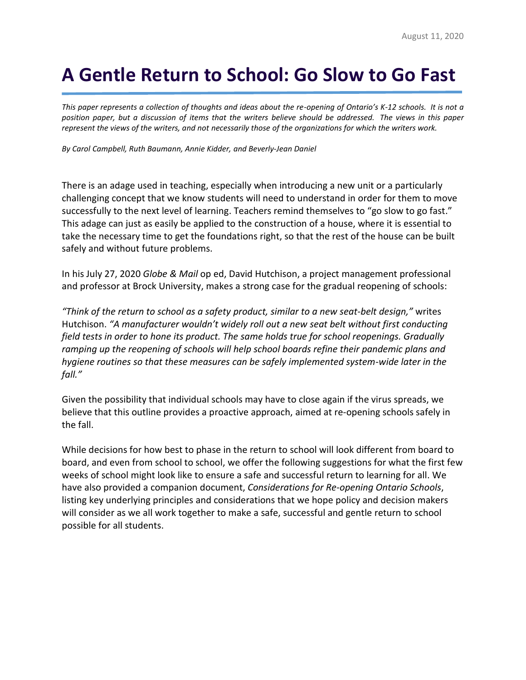# **A Gentle Return to School: Go Slow to Go Fast**

*This paper represents a collection of thoughts and ideas about the re-opening of Ontario's K-12 schools. It is not a position paper, but a discussion of items that the writers believe should be addressed. The views in this paper represent the views of the writers, and not necessarily those of the organizations for which the writers work.*

*By Carol Campbell, Ruth Baumann, Annie Kidder, and Beverly-Jean Daniel*

There is an adage used in teaching, especially when introducing a new unit or a particularly challenging concept that we know students will need to understand in order for them to move successfully to the next level of learning. Teachers remind themselves to "go slow to go fast." This adage can just as easily be applied to the construction of a house, where it is essential to take the necessary time to get the foundations right, so that the rest of the house can be built safely and without future problems.

In his July 27, 2020 *Globe & Mail* op ed, David Hutchison, a project management professional and professor at Brock University, makes a strong case for the gradual reopening of schools:

*"Think of the return to school as a safety product, similar to a new seat-belt design,"* writes Hutchison. *"A manufacturer wouldn't widely roll out a new seat belt without first conducting field tests in order to hone its product. The same holds true for school reopenings. Gradually ramping up the reopening of schools will help school boards refine their pandemic plans and hygiene routines so that these measures can be safely implemented system-wide later in the fall."* 

Given the possibility that individual schools may have to close again if the virus spreads, we believe that this outline provides a proactive approach, aimed at re-opening schools safely in the fall.

While decisions for how best to phase in the return to school will look different from board to board, and even from school to school, we offer the following suggestions for what the first few weeks of school might look like to ensure a safe and successful return to learning for all. We have also provided a companion document, *Considerations for Re-opening Ontario Schools*, listing key underlying principles and considerations that we hope policy and decision makers will consider as we all work together to make a safe, successful and gentle return to school possible for all students.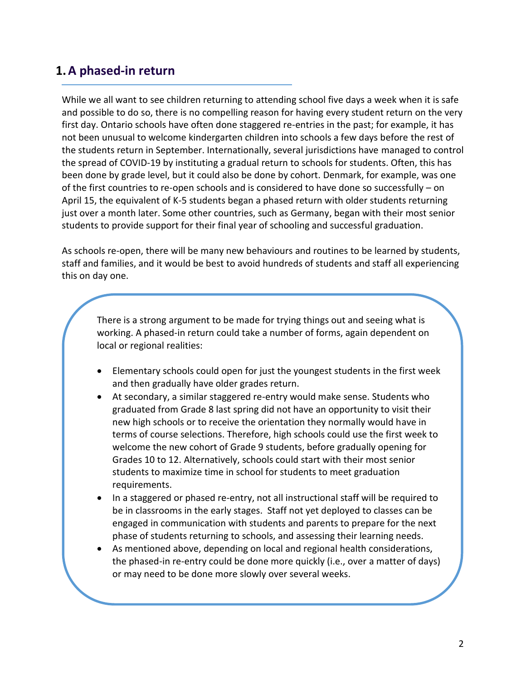### **1.A phased-in return**

While we all want to see children returning to attending school five days a week when it is safe and possible to do so, there is no compelling reason for having every student return on the very first day. Ontario schools have often done staggered re-entries in the past; for example, it has not been unusual to welcome kindergarten children into schools a few days before the rest of the students return in September. Internationally, several jurisdictions have managed to control the spread of COVID-19 by instituting a gradual return to schools for students. Often, this has been done by grade level, but it could also be done by cohort. Denmark, for example, was one of the first countries to re-open schools and is considered to have done so successfully – on April 15, the equivalent of K-5 students began a phased return with older students returning just over a month later. Some other countries, such as Germany, began with their most senior students to provide support for their final year of schooling and successful graduation.

As schools re-open, there will be many new behaviours and routines to be learned by students, staff and families, and it would be best to avoid hundreds of students and staff all experiencing this on day one.

There is a strong argument to be made for trying things out and seeing what is working. A phased-in return could take a number of forms, again dependent on local or regional realities:

- Elementary schools could open for just the youngest students in the first week and then gradually have older grades return.
- At secondary, a similar staggered re-entry would make sense. Students who graduated from Grade 8 last spring did not have an opportunity to visit their new high schools or to receive the orientation they normally would have in terms of course selections. Therefore, high schools could use the first week to welcome the new cohort of Grade 9 students, before gradually opening for Grades 10 to 12. Alternatively, schools could start with their most senior students to maximize time in school for students to meet graduation requirements.
- In a staggered or phased re-entry, not all instructional staff will be required to be in classrooms in the early stages. Staff not yet deployed to classes can be engaged in communication with students and parents to prepare for the next phase of students returning to schools, and assessing their learning needs.
- As mentioned above, depending on local and regional health considerations, the phased-in re-entry could be done more quickly (i.e., over a matter of days) or may need to be done more slowly over several weeks.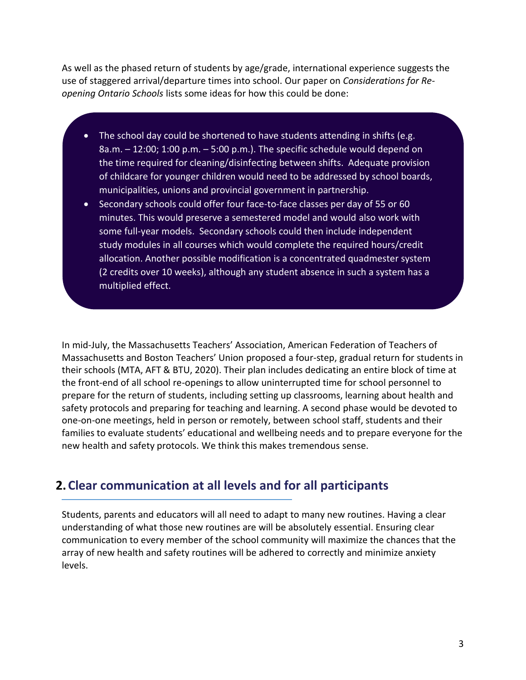As well as the phased return of students by age/grade, international experience suggests the use of staggered arrival/departure times into school. Our paper on *Considerations for Reopening Ontario Schools* lists some ideas for how this could be done:

- The school day could be shortened to have students attending in shifts (e.g. 8a.m. – 12:00; 1:00 p.m. – 5:00 p.m.). The specific schedule would depend on the time required for cleaning/disinfecting between shifts. Adequate provision of childcare for younger children would need to be addressed by school boards, municipalities, unions and provincial government in partnership.
- Secondary schools could offer four face-to-face classes per day of 55 or 60 minutes. This would preserve a semestered model and would also work with some full-year models. Secondary schools could then include independent study modules in all courses which would complete the required hours/credit allocation. Another possible modification is a concentrated quadmester system (2 credits over 10 weeks), although any student absence in such a system has a multiplied effect.

In mid-July, the Massachusetts Teachers' Association, American Federation of Teachers of Massachusetts and Boston Teachers' Union proposed a four-step, gradual return for students in their schools (MTA, AFT & BTU, 2020). Their plan includes dedicating an entire block of time at the front-end of all school re-openings to allow uninterrupted time for school personnel to prepare for the return of students, including setting up classrooms, learning about health and safety protocols and preparing for teaching and learning. A second phase would be devoted to one-on-one meetings, held in person or remotely, between school staff, students and their families to evaluate students' educational and wellbeing needs and to prepare everyone for the new health and safety protocols. We think this makes tremendous sense.

# **2.Clear communication at all levels and for all participants**

Students, parents and educators will all need to adapt to many new routines. Having a clear understanding of what those new routines are will be absolutely essential. Ensuring clear communication to every member of the school community will maximize the chances that the array of new health and safety routines will be adhered to correctly and minimize anxiety levels.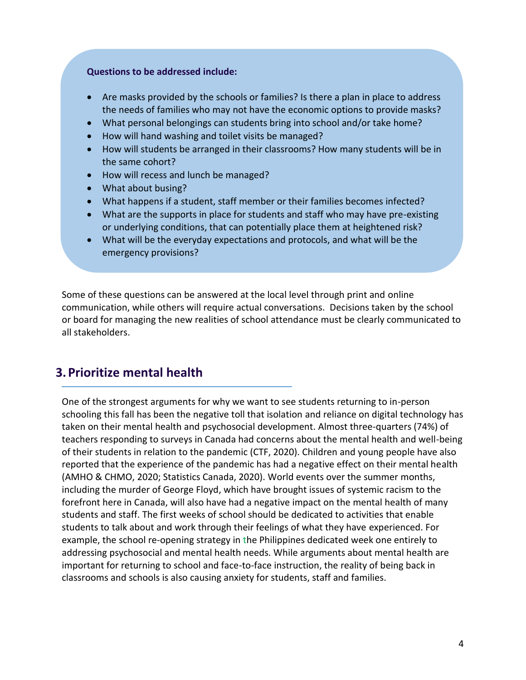#### **Questions to be addressed include:**

- Are masks provided by the schools or families? Is there a plan in place to address the needs of families who may not have the economic options to provide masks?
- What personal belongings can students bring into school and/or take home?
- How will hand washing and toilet visits be managed?
- How will students be arranged in their classrooms? How many students will be in the same cohort?
- How will recess and lunch be managed?
- What about busing?
- What happens if a student, staff member or their families becomes infected?
- What are the supports in place for students and staff who may have pre-existing or underlying conditions, that can potentially place them at heightened risk?
- What will be the everyday expectations and protocols, and what will be the emergency provisions?

Some of these questions can be answered at the local level through print and online communication, while others will require actual conversations. Decisions taken by the school or board for managing the new realities of school attendance must be clearly communicated to all stakeholders.

# **3.Prioritize mental health**

One of the strongest arguments for why we want to see students returning to in-person schooling this fall has been the negative toll that isolation and reliance on digital technology has taken on their mental health and psychosocial development. Almost three-quarters (74%) of teachers responding to surveys in Canada had concerns about the mental health and well-being of their students in relation to the pandemic (CTF, 2020). Children and young people have also reported that the experience of the pandemic has had a negative effect on their mental health (AMHO & CHMO, 2020; Statistics Canada, 2020). World events over the summer months, including the murder of George Floyd, which have brought issues of systemic racism to the forefront here in Canada, will also have had a negative impact on the mental health of many students and staff. The first weeks of school should be dedicated to activities that enable students to talk about and work through their feelings of what they have experienced. For example, the school re-opening strategy in the Philippines dedicated week one entirely to addressing psychosocial and mental health needs. While arguments about mental health are important for returning to school and face-to-face instruction, the reality of being back in classrooms and schools is also causing anxiety for students, staff and families.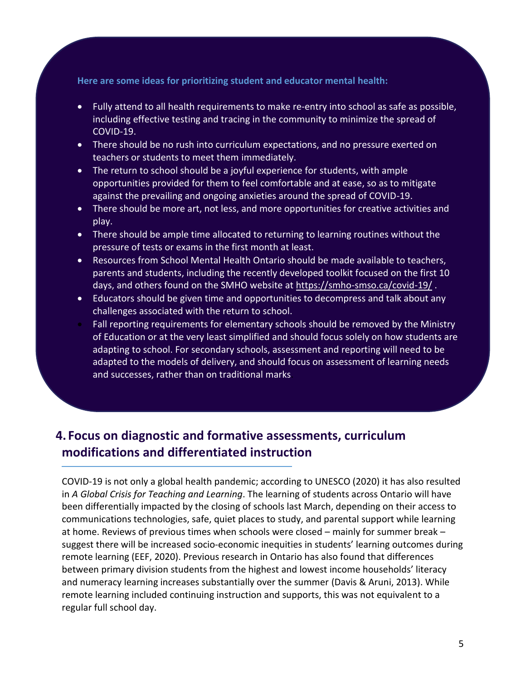**Here are some ideas for prioritizing student and educator mental health:**

- Fully attend to all health requirements to make re-entry into school as safe as possible, including effective testing and tracing in the community to minimize the spread of COVID-19.
- There should be no rush into curriculum expectations, and no pressure exerted on teachers or students to meet them immediately.
- The return to school should be a joyful experience for students, with ample opportunities provided for them to feel comfortable and at ease, so as to mitigate against the prevailing and ongoing anxieties around the spread of COVID-19.
- There should be more art, not less, and more opportunities for creative activities and play.
- There should be ample time allocated to returning to learning routines without the pressure of tests or exams in the first month at least.
- Resources from School Mental Health Ontario should be made available to teachers, parents and students, including the recently developed toolkit focused on the first 10 days, and others found on the SMHO website at<https://smho-smso.ca/covid-19/> .
- Educators should be given time and opportunities to decompress and talk about any challenges associated with the return to school.
- Fall reporting requirements for elementary schools should be removed by the Ministry of Education or at the very least simplified and should focus solely on how students are adapting to school. For secondary schools, assessment and reporting will need to be adapted to the models of delivery, and should focus on assessment of learning needs and successes, rather than on traditional marks.

# **4. Focus on diagnostic and formative assessments, curriculum modifications and differentiated instruction**

COVID-19 is not only a global health pandemic; according to UNESCO (2020) it has also resulted in *A Global Crisis for Teaching and Learning*. The learning of students across Ontario will have been differentially impacted by the closing of schools last March, depending on their access to communications technologies, safe, quiet places to study, and parental support while learning at home. Reviews of previous times when schools were closed – mainly for summer break – suggest there will be increased socio-economic inequities in students' learning outcomes during remote learning (EEF, 2020). Previous research in Ontario has also found that differences between primary division students from the highest and lowest income households' literacy and numeracy learning increases substantially over the summer (Davis & Aruni, 2013). While remote learning included continuing instruction and supports, this was not equivalent to a regular full school day.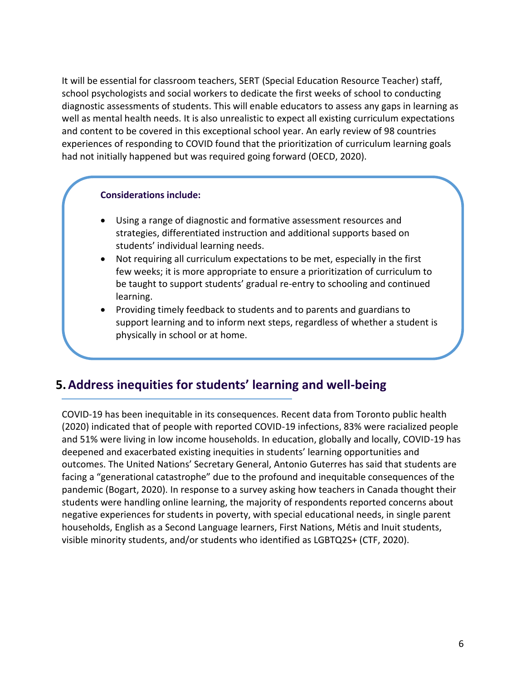It will be essential for classroom teachers, SERT (Special Education Resource Teacher) staff, school psychologists and social workers to dedicate the first weeks of school to conducting diagnostic assessments of students. This will enable educators to assess any gaps in learning as well as mental health needs. It is also unrealistic to expect all existing curriculum expectations and content to be covered in this exceptional school year. An early review of 98 countries experiences of responding to COVID found that the prioritization of curriculum learning goals had not initially happened but was required going forward (OECD, 2020).

#### **Considerations include:**

- Using a range of diagnostic and formative assessment resources and strategies, differentiated instruction and additional supports based on students' individual learning needs.
- Not requiring all curriculum expectations to be met, especially in the first few weeks; it is more appropriate to ensure a prioritization of curriculum to be taught to support students' gradual re-entry to schooling and continued learning.
- Providing timely feedback to students and to parents and guardians to support learning and to inform next steps, regardless of whether a student is physically in school or at home.

### **5.Address inequities for students' learning and well-being**

COVID-19 has been inequitable in its consequences. Recent data from Toronto public health (2020) indicated that of people with reported COVID-19 infections, 83% were racialized people and 51% were living in low income households. In education, globally and locally, COVID-19 has deepened and exacerbated existing inequities in students' learning opportunities and outcomes. The United Nations' Secretary General, Antonio Guterres has said that students are facing a "generational catastrophe" due to the profound and inequitable consequences of the pandemic (Bogart, 2020). In response to a survey asking how teachers in Canada thought their students were handling online learning, the majority of respondents reported concerns about negative experiences for students in poverty, with special educational needs, in single parent households, English as a Second Language learners, First Nations, Métis and Inuit students, visible minority students, and/or students who identified as LGBTQ2S+ (CTF, 2020).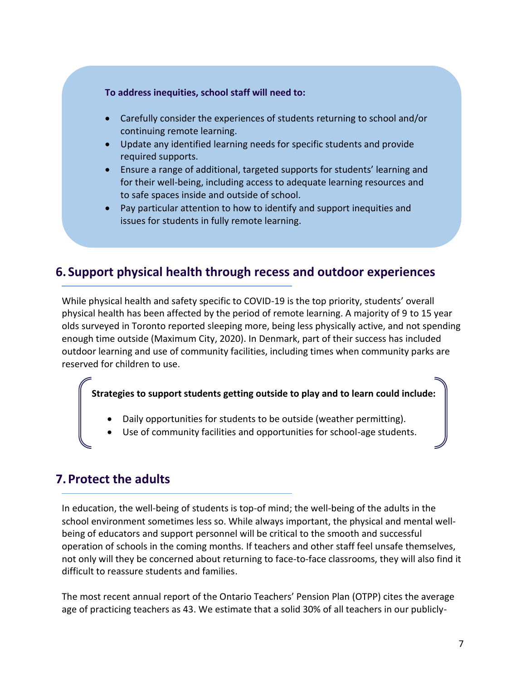#### **To address inequities, school staff will need to:**

- Carefully consider the experiences of students returning to school and/or continuing remote learning.
- Update any identified learning needs for specific students and provide required supports.
- Ensure a range of additional, targeted supports for students' learning and for their well-being, including access to adequate learning resources and to safe spaces inside and outside of school.
- Pay particular attention to how to identify and support inequities and issues for students in fully remote learning.

### **6. Support physical health through recess and outdoor experiences**

While physical health and safety specific to COVID-19 is the top priority, students' overall physical health has been affected by the period of remote learning. A majority of 9 to 15 year olds surveyed in Toronto reported sleeping more, being less physically active, and not spending enough time outside (Maximum City, 2020). In Denmark, part of their success has included outdoor learning and use of community facilities, including times when community parks are reserved for children to use.

**Strategies to support students getting outside to play and to learn could include:**

- Daily opportunities for students to be outside (weather permitting).
- Use of community facilities and opportunities for school-age students.

### **7.Protect the adults**

In education, the well-being of students is top-of mind; the well-being of the adults in the school environment sometimes less so. While always important, the physical and mental wellbeing of educators and support personnel will be critical to the smooth and successful operation of schools in the coming months. If teachers and other staff feel unsafe themselves, not only will they be concerned about returning to face-to-face classrooms, they will also find it difficult to reassure students and families.

The most recent annual report of the Ontario Teachers' Pension Plan (OTPP) cites the average age of practicing teachers as 43. We estimate that a solid 30% of all teachers in our publicly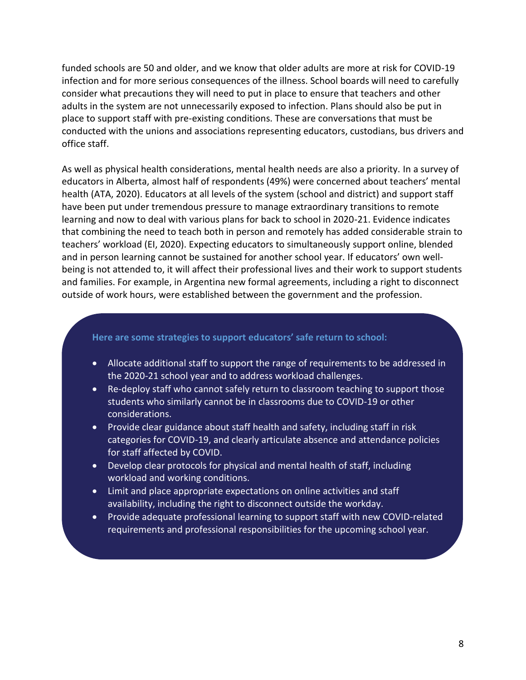funded schools are 50 and older, and we know that older adults are more at risk for COVID-19 infection and for more serious consequences of the illness. School boards will need to carefully consider what precautions they will need to put in place to ensure that teachers and other adults in the system are not unnecessarily exposed to infection. Plans should also be put in place to support staff with pre-existing conditions. These are conversations that must be conducted with the unions and associations representing educators, custodians, bus drivers and office staff.

As well as physical health considerations, mental health needs are also a priority. In a survey of educators in Alberta, almost half of respondents (49%) were concerned about teachers' mental health (ATA, 2020). Educators at all levels of the system (school and district) and support staff have been put under tremendous pressure to manage extraordinary transitions to remote learning and now to deal with various plans for back to school in 2020-21. Evidence indicates that combining the need to teach both in person and remotely has added considerable strain to teachers' workload (EI, 2020). Expecting educators to simultaneously support online, blended and in person learning cannot be sustained for another school year. If educators' own wellbeing is not attended to, it will affect their professional lives and their work to support students and families. For example, in Argentina new formal agreements, including a right to disconnect outside of work hours, were established between the government and the profession.

#### **Here are some strategies to support educators' safe return to school:**

- Allocate additional staff to support the range of requirements to be addressed in the 2020-21 school year and to address workload challenges.
- Re-deploy staff who cannot safely return to classroom teaching to support those students who similarly cannot be in classrooms due to COVID-19 or other considerations.
- Provide clear guidance about staff health and safety, including staff in risk categories for COVID-19, and clearly articulate absence and attendance policies for staff affected by COVID.
- Develop clear protocols for physical and mental health of staff, including workload and working conditions.
- Limit and place appropriate expectations on online activities and staff availability, including the right to disconnect outside the workday.
- Provide adequate professional learning to support staff with new COVID-related requirements and professional responsibilities for the upcoming school year.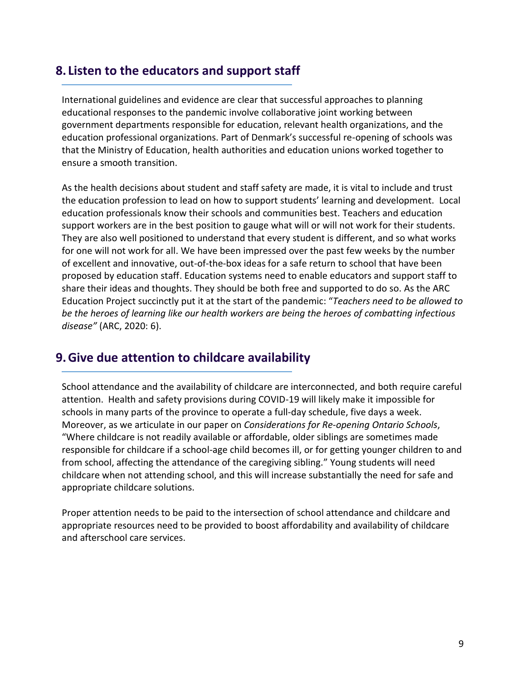### **8. Listen to the educators and support staff**

International guidelines and evidence are clear that successful approaches to planning educational responses to the pandemic involve collaborative joint working between government departments responsible for education, relevant health organizations, and the education professional organizations. Part of Denmark's successful re-opening of schools was that the Ministry of Education, health authorities and education unions worked together to ensure a smooth transition.

As the health decisions about student and staff safety are made, it is vital to include and trust the education profession to lead on how to support students' learning and development. Local education professionals know their schools and communities best. Teachers and education support workers are in the best position to gauge what will or will not work for their students. They are also well positioned to understand that every student is different, and so what works for one will not work for all. We have been impressed over the past few weeks by the number of excellent and innovative, out-of-the-box ideas for a safe return to school that have been proposed by education staff. Education systems need to enable educators and support staff to share their ideas and thoughts. They should be both free and supported to do so. As the ARC Education Project succinctly put it at the start of the pandemic: "*Teachers need to be allowed to be the heroes of learning like our health workers are being the heroes of combatting infectious disease"* (ARC, 2020: 6).

### **9.Give due attention to childcare availability**

School attendance and the availability of childcare are interconnected, and both require careful attention. Health and safety provisions during COVID-19 will likely make it impossible for schools in many parts of the province to operate a full-day schedule, five days a week. Moreover, as we articulate in our paper on *Considerations for Re-opening Ontario Schools*, "Where childcare is not readily available or affordable, older siblings are sometimes made responsible for childcare if a school-age child becomes ill, or for getting younger children to and from school, affecting the attendance of the caregiving sibling." Young students will need childcare when not attending school, and this will increase substantially the need for safe and appropriate childcare solutions.

Proper attention needs to be paid to the intersection of school attendance and childcare and appropriate resources need to be provided to boost affordability and availability of childcare and afterschool care services.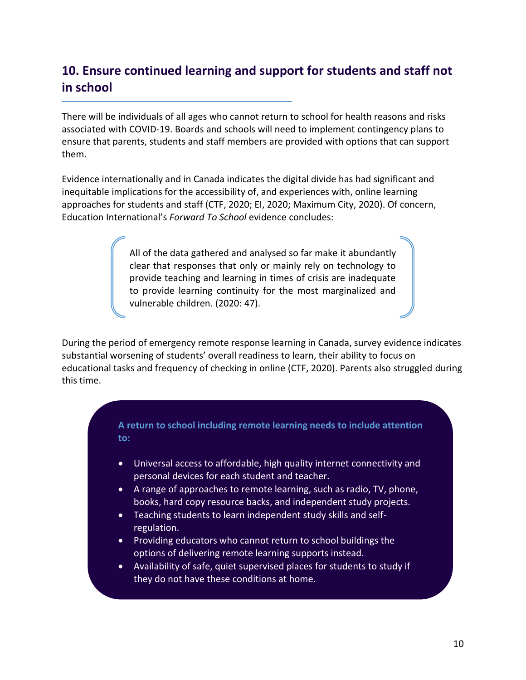# **10. Ensure continued learning and support for students and staff not in school**

There will be individuals of all ages who cannot return to school for health reasons and risks associated with COVID-19. Boards and schools will need to implement contingency plans to ensure that parents, students and staff members are provided with options that can support them.

Evidence internationally and in Canada indicates the digital divide has had significant and inequitable implications for the accessibility of, and experiences with, online learning approaches for students and staff (CTF, 2020; EI, 2020; Maximum City, 2020). Of concern, Education International's *Forward To School* evidence concludes:

> All of the data gathered and analysed so far make it abundantly clear that responses that only or mainly rely on technology to provide teaching and learning in times of crisis are inadequate to provide learning continuity for the most marginalized and vulnerable children. (2020: 47).

During the period of emergency remote response learning in Canada, survey evidence indicates substantial worsening of students' overall readiness to learn, their ability to focus on educational tasks and frequency of checking in online (CTF, 2020). Parents also struggled during this time.

#### **A return to school including remote learning needs to include attention to:**

- Universal access to affordable, high quality internet connectivity and personal devices for each student and teacher.
- A range of approaches to remote learning, such as radio, TV, phone, books, hard copy resource backs, and independent study projects.
- Teaching students to learn independent study skills and selfregulation.
- Providing educators who cannot return to school buildings the options of delivering remote learning supports instead.
- Availability of safe, quiet supervised places for students to study if they do not have these conditions at home.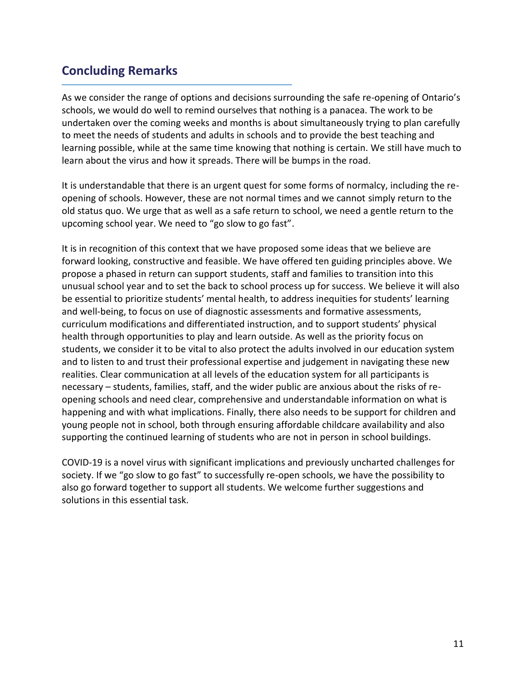# **Concluding Remarks**

As we consider the range of options and decisions surrounding the safe re-opening of Ontario's schools, we would do well to remind ourselves that nothing is a panacea. The work to be undertaken over the coming weeks and months is about simultaneously trying to plan carefully to meet the needs of students and adults in schools and to provide the best teaching and learning possible, while at the same time knowing that nothing is certain. We still have much to learn about the virus and how it spreads. There will be bumps in the road.

It is understandable that there is an urgent quest for some forms of normalcy, including the reopening of schools. However, these are not normal times and we cannot simply return to the old status quo. We urge that as well as a safe return to school, we need a gentle return to the upcoming school year. We need to "go slow to go fast".

It is in recognition of this context that we have proposed some ideas that we believe are forward looking, constructive and feasible. We have offered ten guiding principles above. We propose a phased in return can support students, staff and families to transition into this unusual school year and to set the back to school process up for success. We believe it will also be essential to prioritize students' mental health, to address inequities for students' learning and well-being, to focus on use of diagnostic assessments and formative assessments, curriculum modifications and differentiated instruction, and to support students' physical health through opportunities to play and learn outside. As well as the priority focus on students, we consider it to be vital to also protect the adults involved in our education system and to listen to and trust their professional expertise and judgement in navigating these new realities. Clear communication at all levels of the education system for all participants is necessary – students, families, staff, and the wider public are anxious about the risks of reopening schools and need clear, comprehensive and understandable information on what is happening and with what implications. Finally, there also needs to be support for children and young people not in school, both through ensuring affordable childcare availability and also supporting the continued learning of students who are not in person in school buildings.

COVID-19 is a novel virus with significant implications and previously uncharted challenges for society. If we "go slow to go fast" to successfully re-open schools, we have the possibility to also go forward together to support all students. We welcome further suggestions and solutions in this essential task.